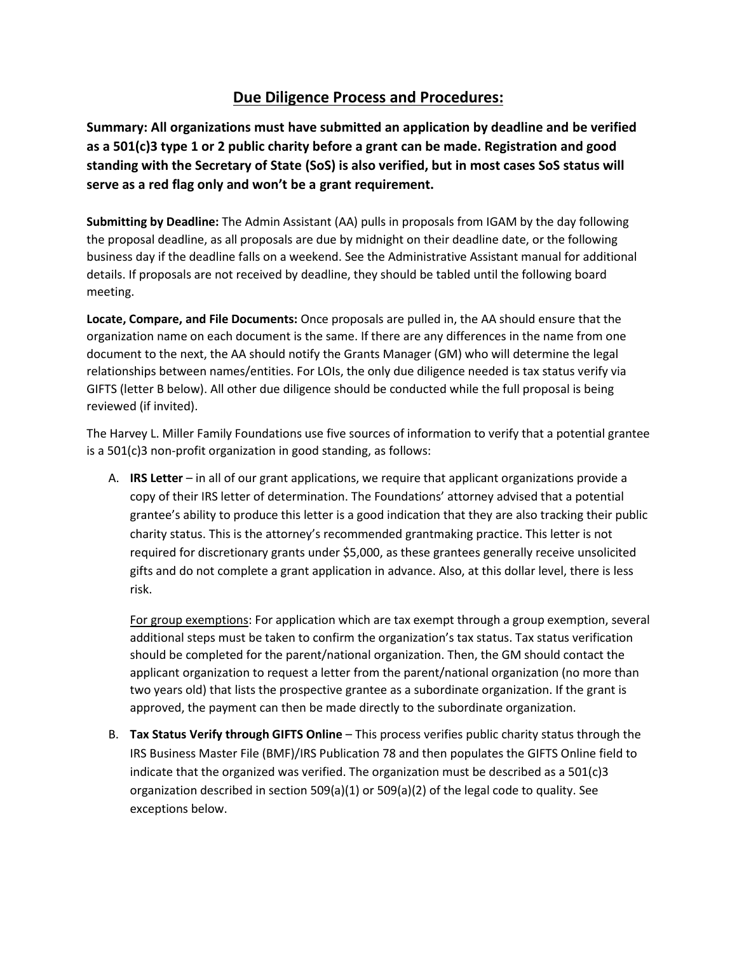## **Due Diligence Process and Procedures:**

**Summary: All organizations must have submitted an application by deadline and be verified as a 501(c)3 type 1 or 2 public charity before a grant can be made. Registration and good standing with the Secretary of State (SoS) is also verified, but in most cases SoS status will serve as a red flag only and won't be a grant requirement.** 

**Submitting by Deadline:** The Admin Assistant (AA) pulls in proposals from IGAM by the day following the proposal deadline, as all proposals are due by midnight on their deadline date, or the following business day if the deadline falls on a weekend. See the Administrative Assistant manual for additional details. If proposals are not received by deadline, they should be tabled until the following board meeting.

**Locate, Compare, and File Documents:** Once proposals are pulled in, the AA should ensure that the organization name on each document is the same. If there are any differences in the name from one document to the next, the AA should notify the Grants Manager (GM) who will determine the legal relationships between names/entities. For LOIs, the only due diligence needed is tax status verify via GIFTS (letter B below). All other due diligence should be conducted while the full proposal is being reviewed (if invited).

The Harvey L. Miller Family Foundations use five sources of information to verify that a potential grantee is a 501(c)3 non-profit organization in good standing, as follows:

A. **IRS Letter** – in all of our grant applications, we require that applicant organizations provide a copy of their IRS letter of determination. The Foundations' attorney advised that a potential grantee's ability to produce this letter is a good indication that they are also tracking their public charity status. This is the attorney's recommended grantmaking practice. This letter is not required for discretionary grants under \$5,000, as these grantees generally receive unsolicited gifts and do not complete a grant application in advance. Also, at this dollar level, there is less risk.

For group exemptions: For application which are tax exempt through a group exemption, several additional steps must be taken to confirm the organization's tax status. Tax status verification should be completed for the parent/national organization. Then, the GM should contact the applicant organization to request a letter from the parent/national organization (no more than two years old) that lists the prospective grantee as a subordinate organization. If the grant is approved, the payment can then be made directly to the subordinate organization.

B. **Tax Status Verify through GIFTS Online** – This process verifies public charity status through the IRS Business Master File (BMF)/IRS Publication 78 and then populates the GIFTS Online field to indicate that the organized was verified. The organization must be described as a  $501(c)3$ organization described in section 509(a)(1) or 509(a)(2) of the legal code to quality. See exceptions below.